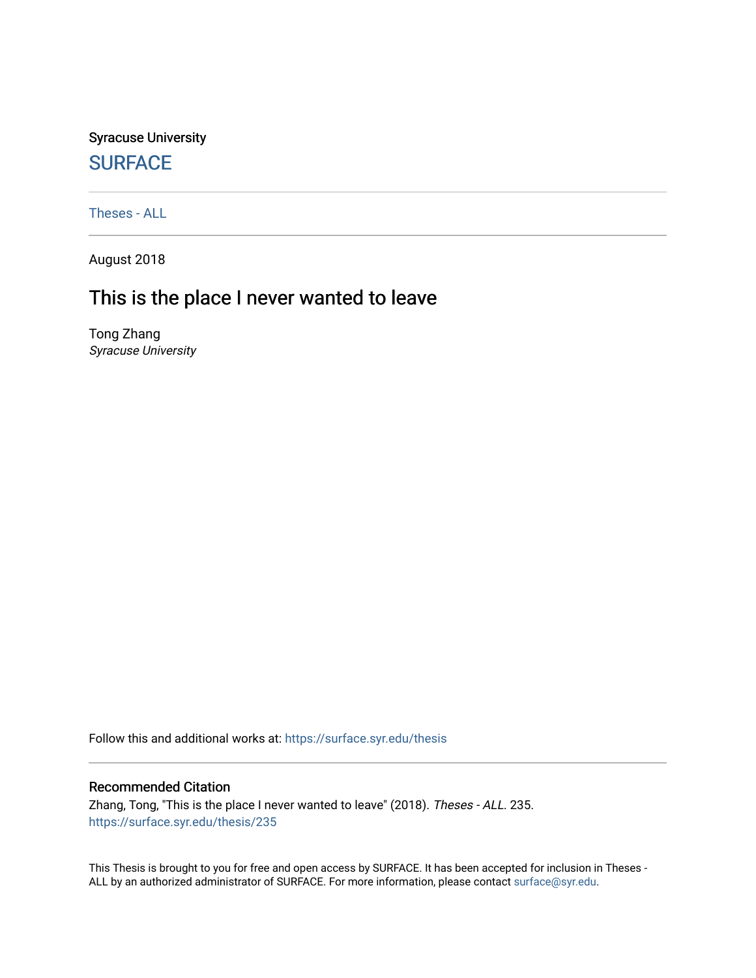Syracuse University **[SURFACE](https://surface.syr.edu/)** 

[Theses - ALL](https://surface.syr.edu/thesis)

August 2018

# This is the place I never wanted to leave

Tong Zhang Syracuse University

Follow this and additional works at: [https://surface.syr.edu/thesis](https://surface.syr.edu/thesis?utm_source=surface.syr.edu%2Fthesis%2F235&utm_medium=PDF&utm_campaign=PDFCoverPages)

#### Recommended Citation

Zhang, Tong, "This is the place I never wanted to leave" (2018). Theses - ALL. 235. [https://surface.syr.edu/thesis/235](https://surface.syr.edu/thesis/235?utm_source=surface.syr.edu%2Fthesis%2F235&utm_medium=PDF&utm_campaign=PDFCoverPages)

This Thesis is brought to you for free and open access by SURFACE. It has been accepted for inclusion in Theses - ALL by an authorized administrator of SURFACE. For more information, please contact [surface@syr.edu](mailto:surface@syr.edu).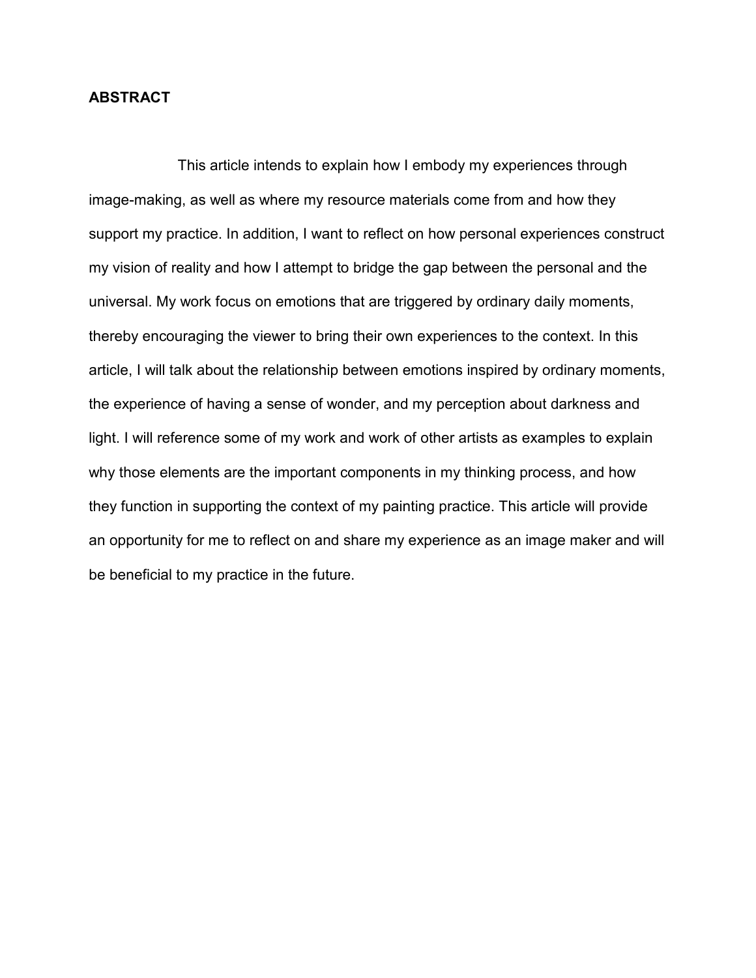# **ABSTRACT**

 This article intends to explain how I embody my experiences through image-making, as well as where my resource materials come from and how they support my practice. In addition, I want to reflect on how personal experiences construct my vision of reality and how I attempt to bridge the gap between the personal and the universal. My work focus on emotions that are triggered by ordinary daily moments, thereby encouraging the viewer to bring their own experiences to the context. In this article, I will talk about the relationship between emotions inspired by ordinary moments, the experience of having a sense of wonder, and my perception about darkness and light. I will reference some of my work and work of other artists as examples to explain why those elements are the important components in my thinking process, and how they function in supporting the context of my painting practice. This article will provide an opportunity for me to reflect on and share my experience as an image maker and will be beneficial to my practice in the future.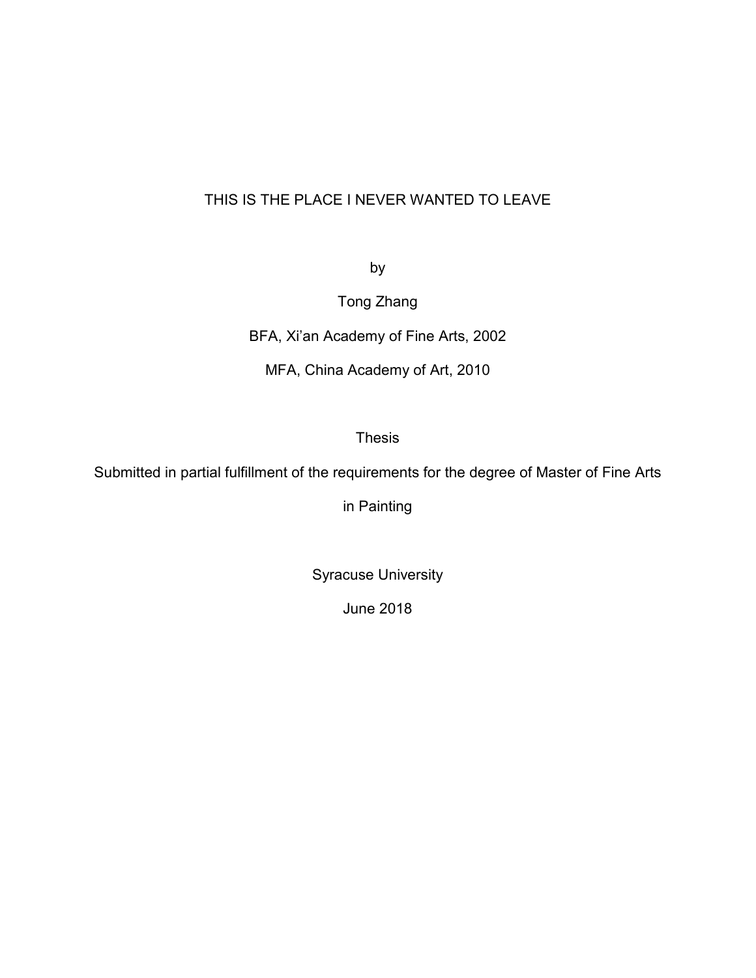# THIS IS THE PLACE I NEVER WANTED TO LEAVE

by

Tong Zhang

BFA, Xi'an Academy of Fine Arts, 2002

MFA, China Academy of Art, 2010

Thesis

Submitted in partial fulfillment of the requirements for the degree of Master of Fine Arts

in Painting

Syracuse University

June 2018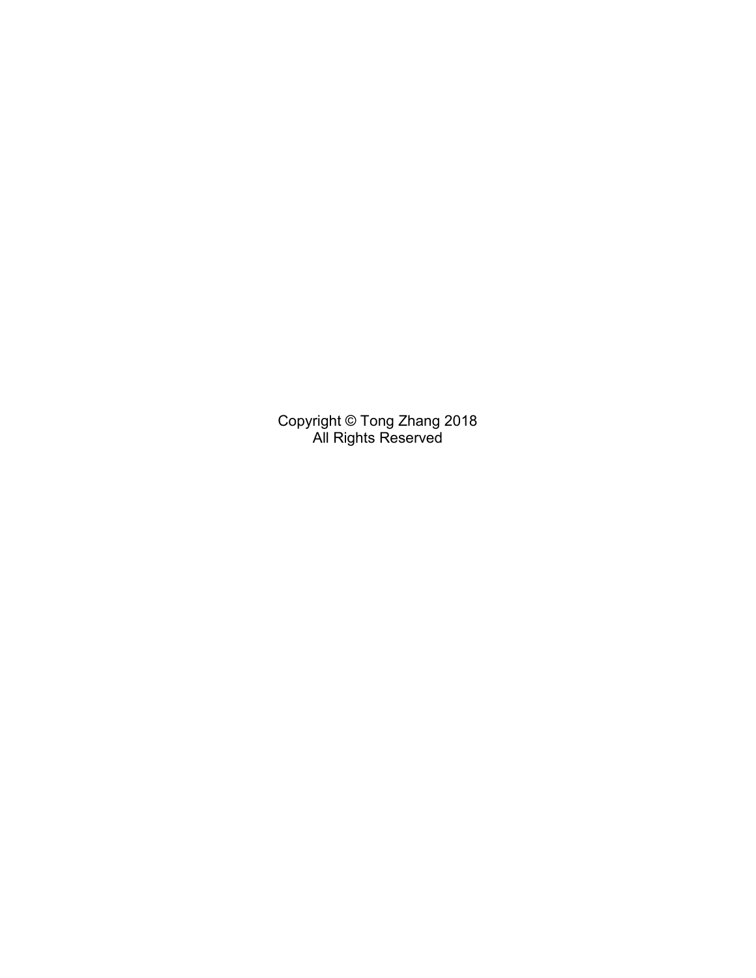Copyright © Tong Zhang 2018 All Rights Reserved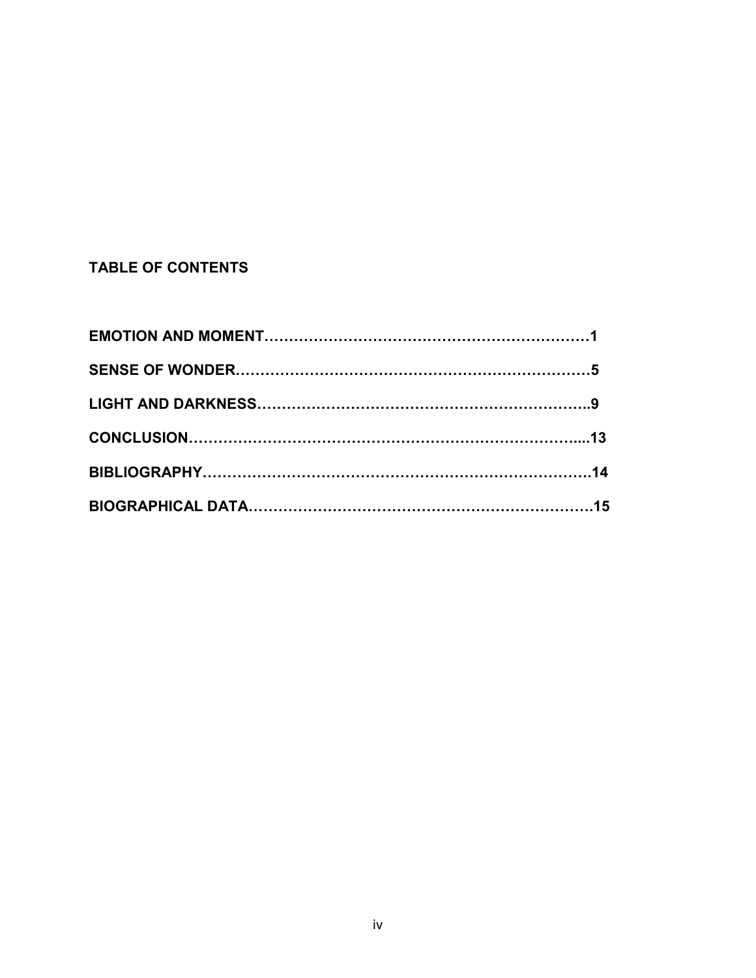# **TABLE OF CONTENTS**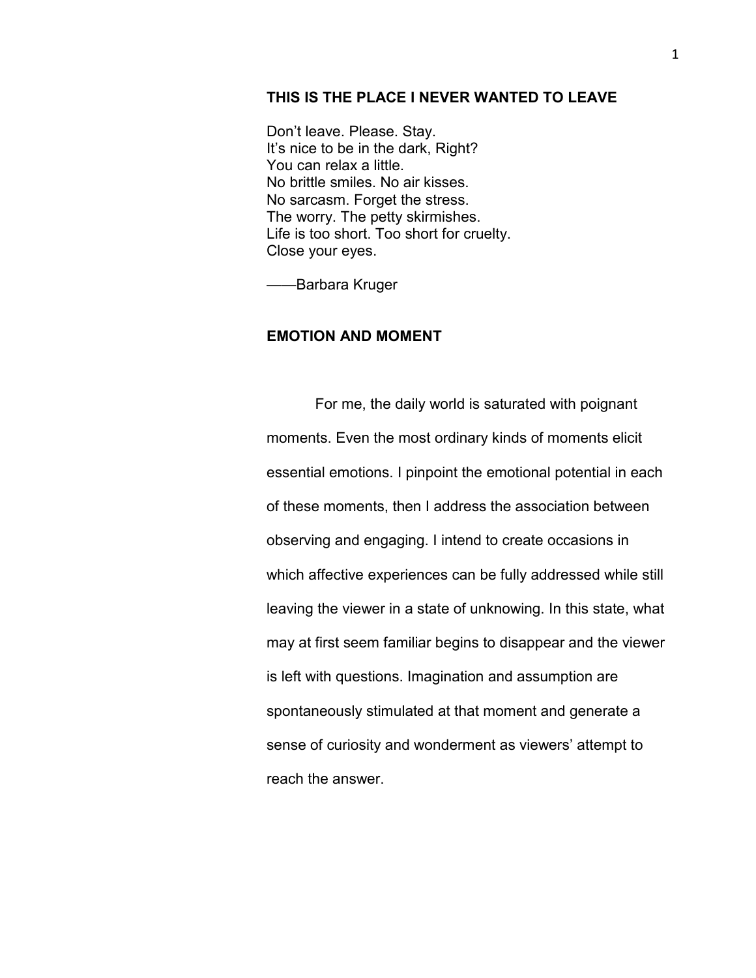## **THIS IS THE PLACE I NEVER WANTED TO LEAVE**

Don't leave. Please. Stay. It's nice to be in the dark, Right? You can relax a little. No brittle smiles. No air kisses. No sarcasm. Forget the stress. The worry. The petty skirmishes. Life is too short. Too short for cruelty. Close your eyes.

——Barbara Kruger

#### **EMOTION AND MOMENT**

 For me, the daily world is saturated with poignant moments. Even the most ordinary kinds of moments elicit essential emotions. I pinpoint the emotional potential in each of these moments, then I address the association between observing and engaging. I intend to create occasions in which affective experiences can be fully addressed while still leaving the viewer in a state of unknowing. In this state, what may at first seem familiar begins to disappear and the viewer is left with questions. Imagination and assumption are spontaneously stimulated at that moment and generate a sense of curiosity and wonderment as viewers' attempt to reach the answer.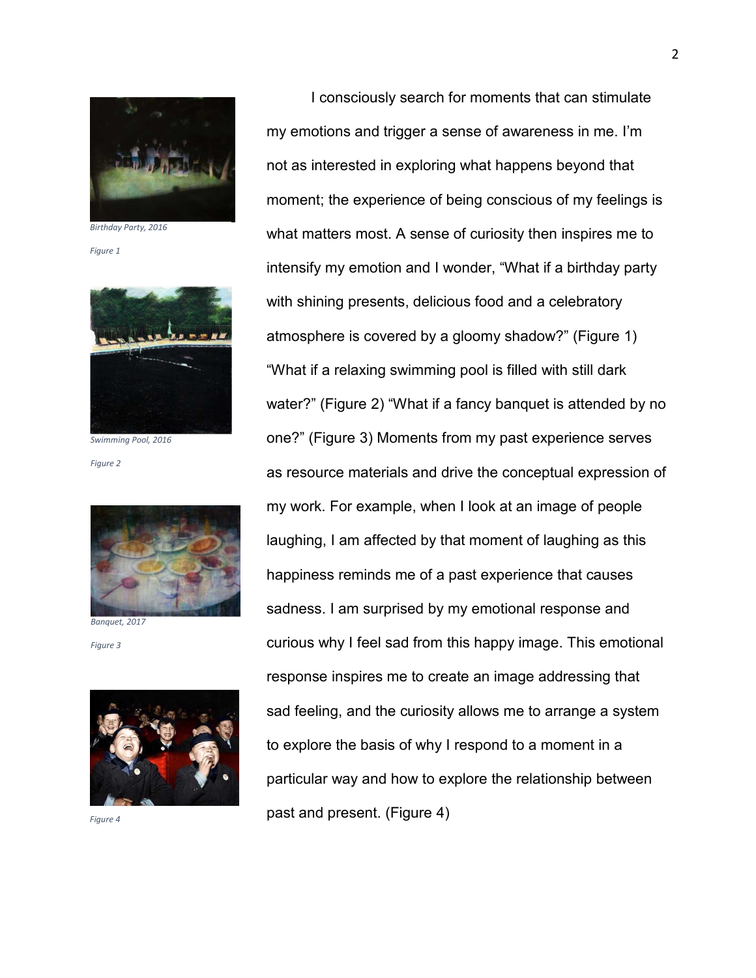

*Birthday Party, 2016* 

*Figure 1*



*Swimming Pool, 2016*

*Figure 2*



*Banquet, 2017*

*Figure 3*



I consciously search for moments that can stimulate my emotions and trigger a sense of awareness in me. I'm not as interested in exploring what happens beyond that moment; the experience of being conscious of my feelings is what matters most. A sense of curiosity then inspires me to intensify my emotion and I wonder, "What if a birthday party with shining presents, delicious food and a celebratory atmosphere is covered by a gloomy shadow?" (Figure 1) "What if a relaxing swimming pool is filled with still dark water?" (Figure 2) "What if a fancy banquet is attended by no one?" (Figure 3) Moments from my past experience serves as resource materials and drive the conceptual expression of my work. For example, when I look at an image of people laughing, I am affected by that moment of laughing as this happiness reminds me of a past experience that causes sadness. I am surprised by my emotional response and curious why I feel sad from this happy image. This emotional response inspires me to create an image addressing that sad feeling, and the curiosity allows me to arrange a system to explore the basis of why I respond to a moment in a particular way and how to explore the relationship between past and present. (Figure 4) *Figure 4*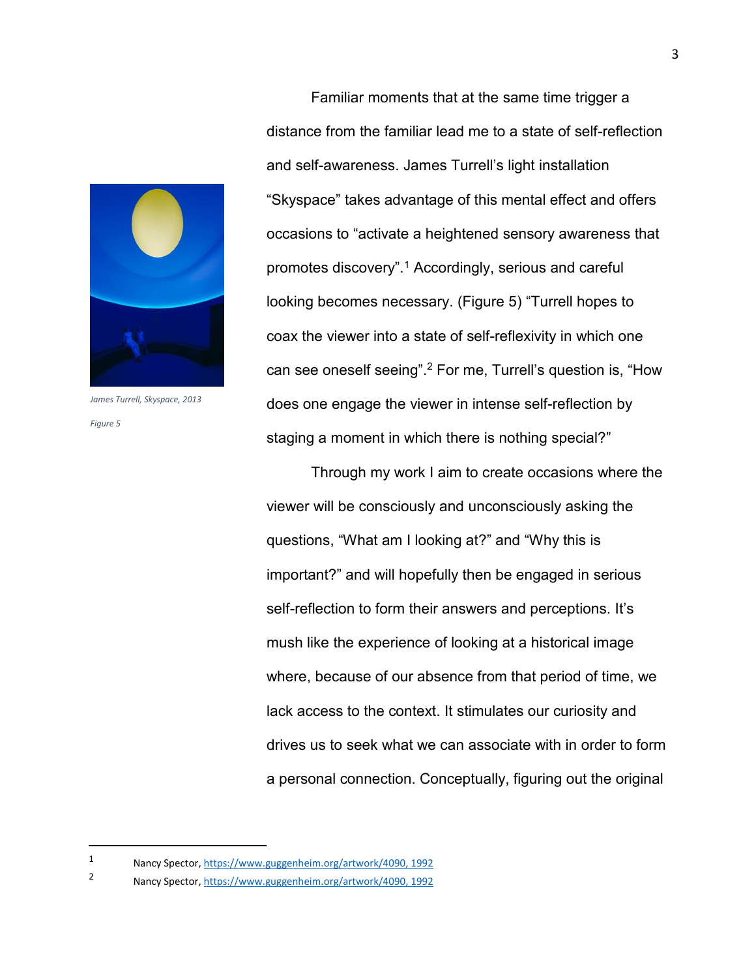

*James Turrell, Skyspace, 2013 Figure 5*

l

Familiar moments that at the same time trigger a distance from the familiar lead me to a state of self-reflection and self-awareness. James Turrell's light installation "Skyspace" takes advantage of this mental effect and offers occasions to "activate a heightened sensory awareness that promotes discovery".<sup>1</sup> Accordingly, serious and careful looking becomes necessary. (Figure 5) "Turrell hopes to coax the viewer into a state of self-reflexivity in which one can see oneself seeing".<sup>2</sup> For me, Turrell's question is, "How does one engage the viewer in intense self-reflection by staging a moment in which there is nothing special?"

Through my work I aim to create occasions where the viewer will be consciously and unconsciously asking the questions, "What am I looking at?" and "Why this is important?" and will hopefully then be engaged in serious self-reflection to form their answers and perceptions. It's mush like the experience of looking at a historical image where, because of our absence from that period of time, we lack access to the context. It stimulates our curiosity and drives us to seek what we can associate with in order to form a personal connection. Conceptually, figuring out the original

<sup>1</sup> Nancy Spector, https://www.guggenheim.org/artwork/4090, 1992

<sup>2</sup> Nancy Spector, https://www.guggenheim.org/artwork/4090, 1992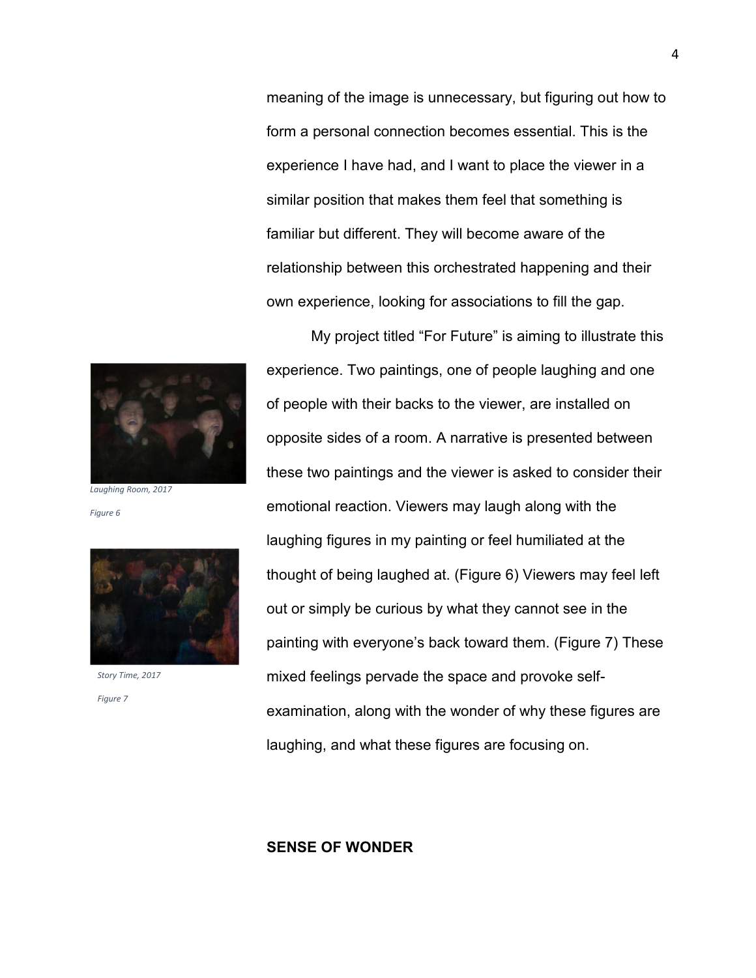*Laughing Room, 2017*

*Figure 6*



*Story Time, 2017*

*Figure 7* 

relationship between this orchestrated happening and their own experience, looking for associations to fill the gap. My project titled "For Future" is aiming to illustrate this experience. Two paintings, one of people laughing and one of people with their backs to the viewer, are installed on opposite sides of a room. A narrative is presented between these two paintings and the viewer is asked to consider their emotional reaction. Viewers may laugh along with the laughing figures in my painting or feel humiliated at the thought of being laughed at. (Figure 6) Viewers may feel left out or simply be curious by what they cannot see in the painting with everyone's back toward them. (Figure 7) These mixed feelings pervade the space and provoke selfexamination, along with the wonder of why these figures are

laughing, and what these figures are focusing on.

meaning of the image is unnecessary, but figuring out how to

form a personal connection becomes essential. This is the

experience I have had, and I want to place the viewer in a

similar position that makes them feel that something is

familiar but different. They will become aware of the

## **SENSE OF WONDER**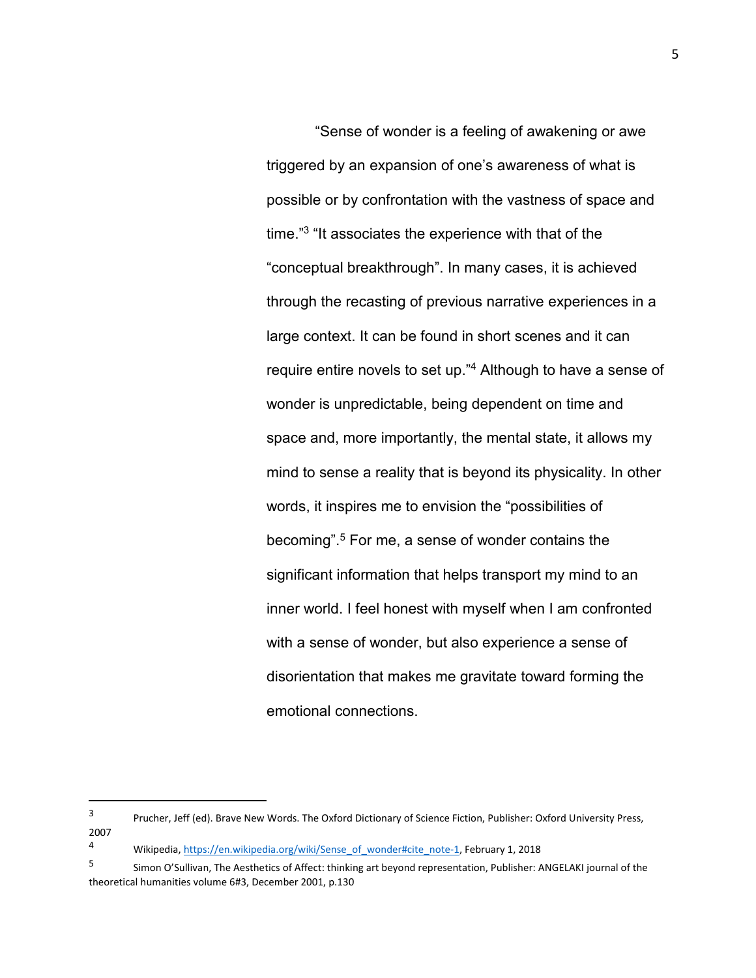"Sense of wonder is a feeling of awakening or awe triggered by an expansion of one's awareness of what is possible or by confrontation with the vastness of space and time."<sup>3</sup> "It associates the experience with that of the "conceptual breakthrough". In many cases, it is achieved through the recasting of previous narrative experiences in a large context. It can be found in short scenes and it can require entire novels to set up."<sup>4</sup> Although to have a sense of wonder is unpredictable, being dependent on time and space and, more importantly, the mental state, it allows my mind to sense a reality that is beyond its physicality. In other words, it inspires me to envision the "possibilities of becoming".<sup>5</sup> For me, a sense of wonder contains the significant information that helps transport my mind to an inner world. I feel honest with myself when I am confronted with a sense of wonder, but also experience a sense of disorientation that makes me gravitate toward forming the emotional connections.

1

<sup>3</sup> Prucher, Jeff (ed). Brave New Words. The Oxford Dictionary of Science Fiction, Publisher: Oxford University Press, 2007

<sup>4</sup> Wikipedia, https://en.wikipedia.org/wiki/Sense\_of\_wonder#cite\_note-1, February 1, 2018

<sup>5</sup> Simon O'Sullivan, The Aesthetics of Affect: thinking art beyond representation, Publisher: ANGELAKI journal of the theoretical humanities volume 6#3, December 2001, p.130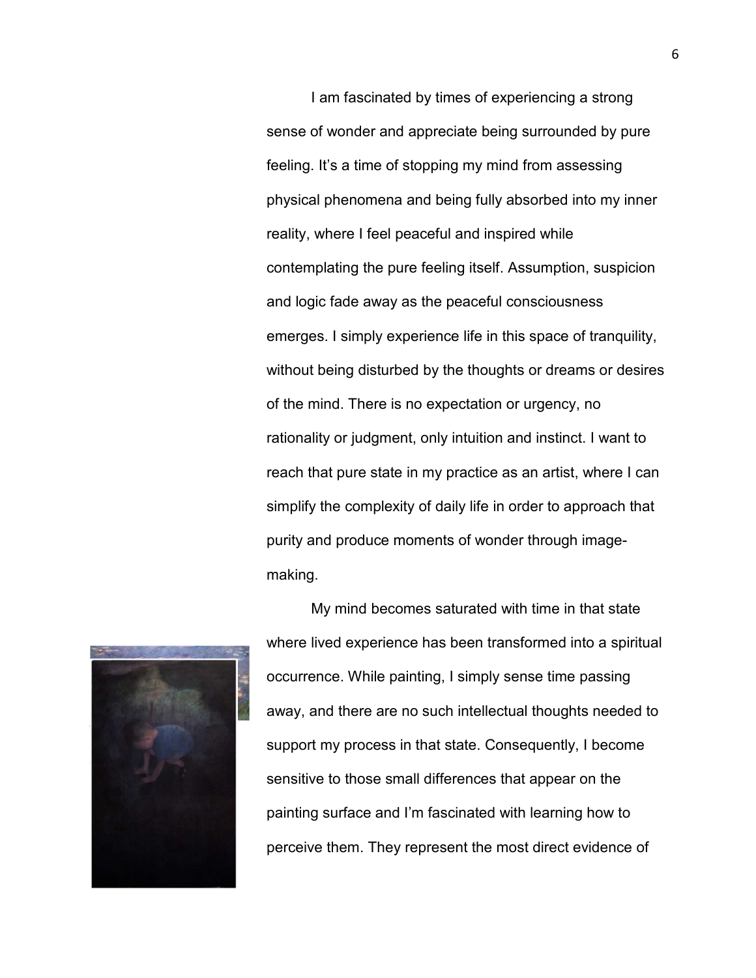I am fascinated by times of experiencing a strong sense of wonder and appreciate being surrounded by pure feeling. It's a time of stopping my mind from assessing physical phenomena and being fully absorbed into my inner reality, where I feel peaceful and inspired while contemplating the pure feeling itself. Assumption, suspicion and logic fade away as the peaceful consciousness emerges. I simply experience life in this space of tranquility, without being disturbed by the thoughts or dreams or desires of the mind. There is no expectation or urgency, no rationality or judgment, only intuition and instinct. I want to reach that pure state in my practice as an artist, where I can simplify the complexity of daily life in order to approach that purity and produce moments of wonder through imagemaking.



My mind becomes saturated with time in that state where lived experience has been transformed into a spiritual occurrence. While painting, I simply sense time passing away, and there are no such intellectual thoughts needed to support my process in that state. Consequently, I become sensitive to those small differences that appear on the painting surface and I'm fascinated with learning how to perceive them. They represent the most direct evidence of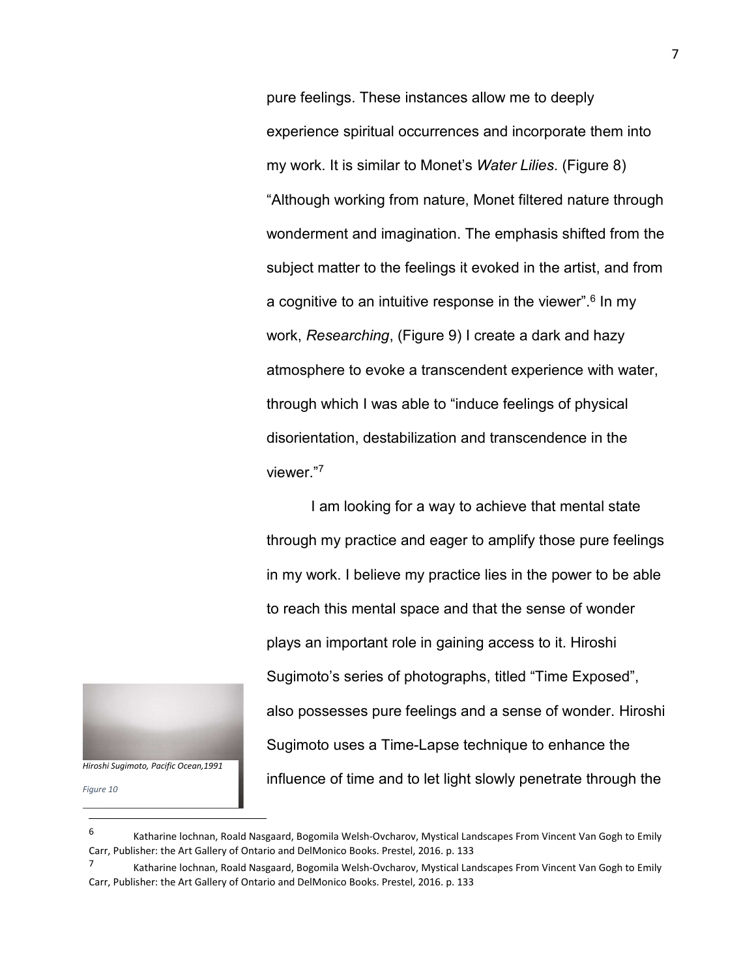pure feelings. These instances allow me to deeply experience spiritual occurrences and incorporate them into my work. It is similar to Monet's *Water Lilies*. (Figure 8) "Although working from nature, Monet filtered nature through wonderment and imagination. The emphasis shifted from the subject matter to the feelings it evoked in the artist, and from a cognitive to an intuitive response in the viewer".<sup>6</sup> In my work, *Researching*, (Figure 9) I create a dark and hazy atmosphere to evoke a transcendent experience with water, through which I was able to "induce feelings of physical disorientation, destabilization and transcendence in the viewer."<sup>7</sup>

I am looking for a way to achieve that mental state through my practice and eager to amplify those pure feelings in my work. I believe my practice lies in the power to be able to reach this mental space and that the sense of wonder plays an important role in gaining access to it. Hiroshi Sugimoto's series of photographs, titled "Time Exposed", also possesses pure feelings and a sense of wonder. Hiroshi Sugimoto uses a Time-Lapse technique to enhance the influence of time and to let light slowly penetrate through the



*Figure 10*

1

<sup>6</sup> Katharine lochnan, Roald Nasgaard, Bogomila Welsh-Ovcharov, Mystical Landscapes From Vincent Van Gogh to Emily Carr, Publisher: the Art Gallery of Ontario and DelMonico Books. Prestel, 2016. p. 133

<sup>7</sup> Katharine lochnan, Roald Nasgaard, Bogomila Welsh-Ovcharov, Mystical Landscapes From Vincent Van Gogh to Emily Carr, Publisher: the Art Gallery of Ontario and DelMonico Books. Prestel, 2016. p. 133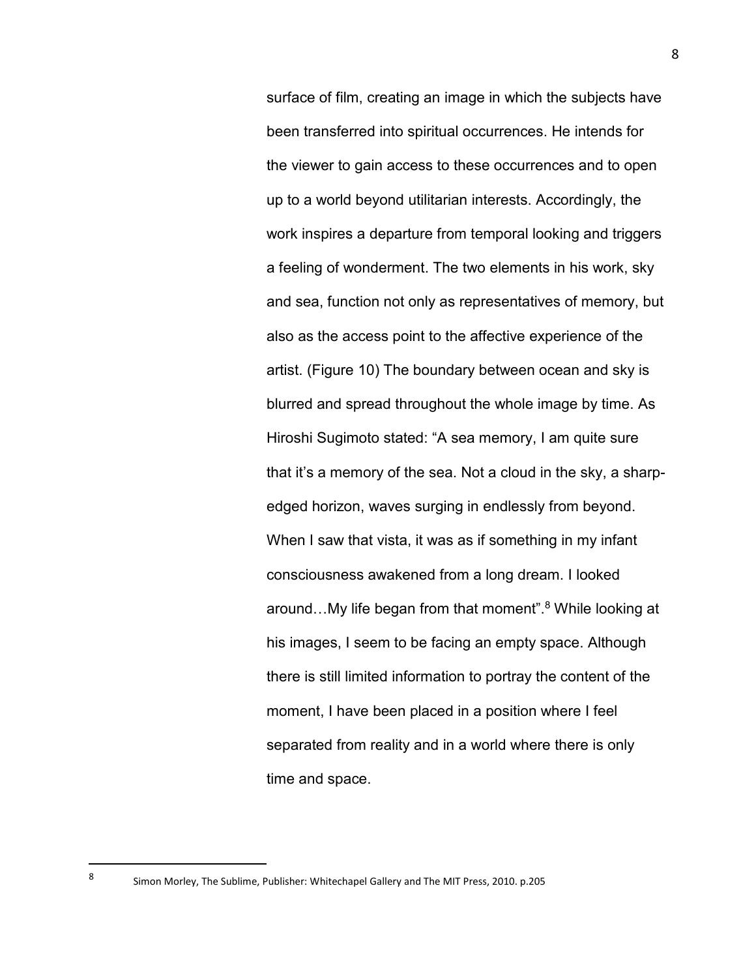surface of film, creating an image in which the subjects have been transferred into spiritual occurrences. He intends for the viewer to gain access to these occurrences and to open up to a world beyond utilitarian interests. Accordingly, the work inspires a departure from temporal looking and triggers a feeling of wonderment. The two elements in his work, sky and sea, function not only as representatives of memory, but also as the access point to the affective experience of the artist. (Figure 10) The boundary between ocean and sky is blurred and spread throughout the whole image by time. As Hiroshi Sugimoto stated: "A sea memory, I am quite sure that it's a memory of the sea. Not a cloud in the sky, a sharpedged horizon, waves surging in endlessly from beyond. When I saw that vista, it was as if something in my infant consciousness awakened from a long dream. I looked around...My life began from that moment".<sup>8</sup> While looking at his images, I seem to be facing an empty space. Although there is still limited information to portray the content of the moment, I have been placed in a position where I feel separated from reality and in a world where there is only time and space.

l 8

Simon Morley, The Sublime, Publisher: Whitechapel Gallery and The MIT Press, 2010. p.205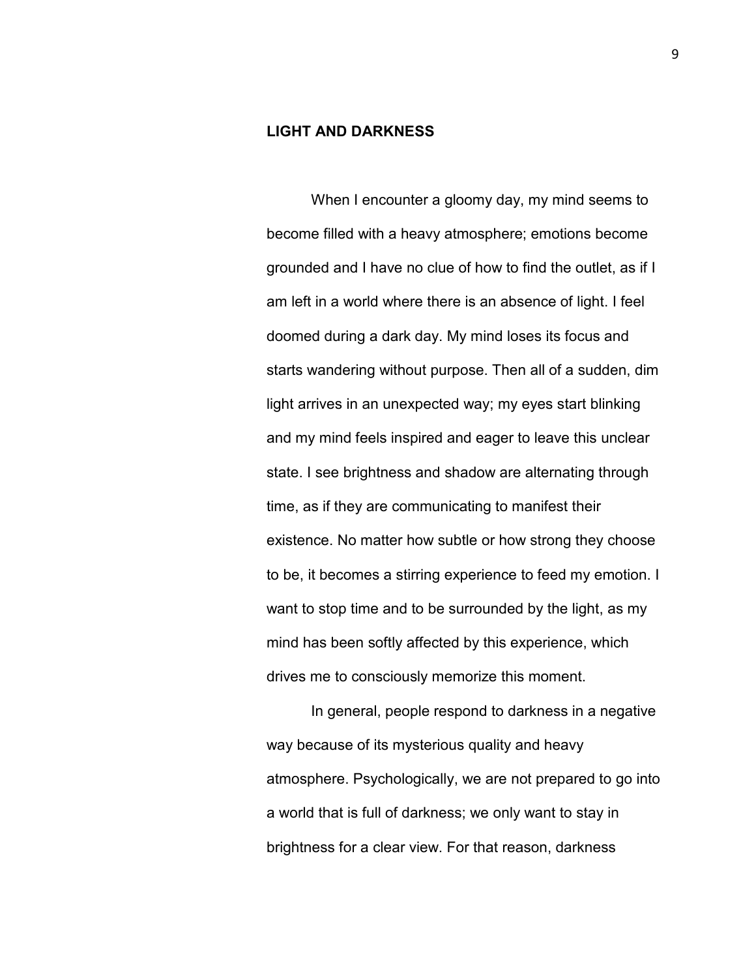## **LIGHT AND DARKNESS**

When I encounter a gloomy day, my mind seems to become filled with a heavy atmosphere; emotions become grounded and I have no clue of how to find the outlet, as if I am left in a world where there is an absence of light. I feel doomed during a dark day. My mind loses its focus and starts wandering without purpose. Then all of a sudden, dim light arrives in an unexpected way; my eyes start blinking and my mind feels inspired and eager to leave this unclear state. I see brightness and shadow are alternating through time, as if they are communicating to manifest their existence. No matter how subtle or how strong they choose to be, it becomes a stirring experience to feed my emotion. I want to stop time and to be surrounded by the light, as my mind has been softly affected by this experience, which drives me to consciously memorize this moment.

In general, people respond to darkness in a negative way because of its mysterious quality and heavy atmosphere. Psychologically, we are not prepared to go into a world that is full of darkness; we only want to stay in brightness for a clear view. For that reason, darkness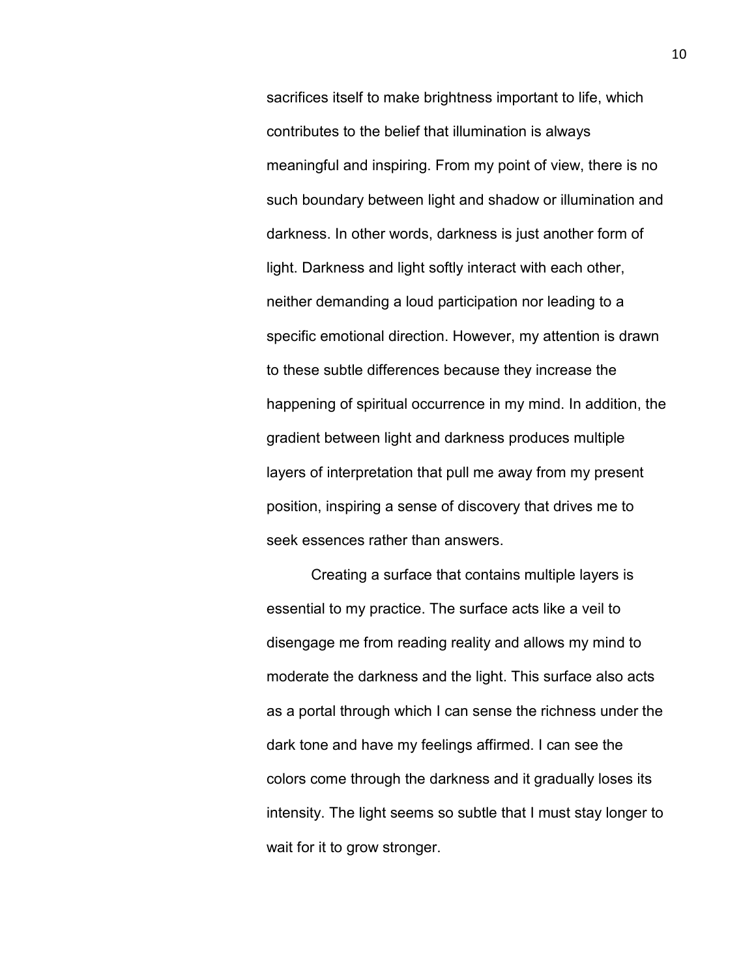sacrifices itself to make brightness important to life, which contributes to the belief that illumination is always meaningful and inspiring. From my point of view, there is no such boundary between light and shadow or illumination and darkness. In other words, darkness is just another form of light. Darkness and light softly interact with each other, neither demanding a loud participation nor leading to a specific emotional direction. However, my attention is drawn to these subtle differences because they increase the happening of spiritual occurrence in my mind. In addition, the gradient between light and darkness produces multiple layers of interpretation that pull me away from my present position, inspiring a sense of discovery that drives me to seek essences rather than answers.

Creating a surface that contains multiple layers is essential to my practice. The surface acts like a veil to disengage me from reading reality and allows my mind to moderate the darkness and the light. This surface also acts as a portal through which I can sense the richness under the dark tone and have my feelings affirmed. I can see the colors come through the darkness and it gradually loses its intensity. The light seems so subtle that I must stay longer to wait for it to grow stronger.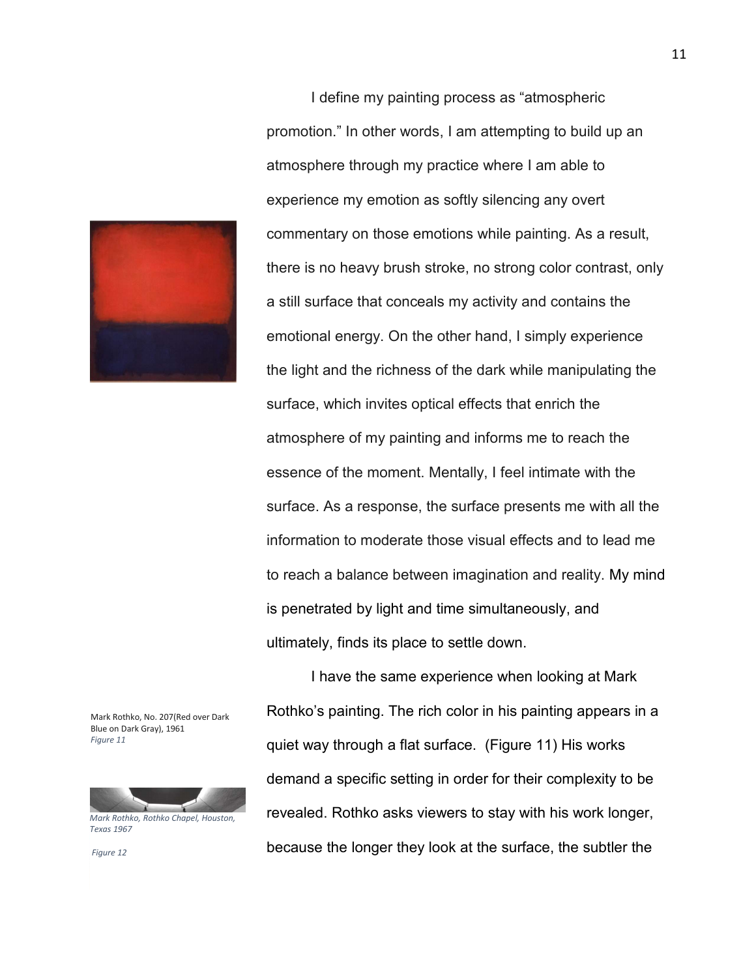

Mark Rothko, No. 207(Red over Dark Blue on Dark Gray), 1961 *Figure 11*



*Texas 1967* 

 *Figure 12* 

I define my painting process as "atmospheric promotion." In other words, I am attempting to build up an atmosphere through my practice where I am able to experience my emotion as softly silencing any overt commentary on those emotions while painting. As a result, there is no heavy brush stroke, no strong color contrast, only a still surface that conceals my activity and contains the emotional energy. On the other hand, I simply experience the light and the richness of the dark while manipulating the surface, which invites optical effects that enrich the atmosphere of my painting and informs me to reach the essence of the moment. Mentally, I feel intimate with the surface. As a response, the surface presents me with all the information to moderate those visual effects and to lead me to reach a balance between imagination and reality. My mind is penetrated by light and time simultaneously, and ultimately, finds its place to settle down.

I have the same experience when looking at Mark Rothko's painting. The rich color in his painting appears in a quiet way through a flat surface. (Figure 11) His works demand a specific setting in order for their complexity to be revealed. Rothko asks viewers to stay with his work longer, because the longer they look at the surface, the subtler the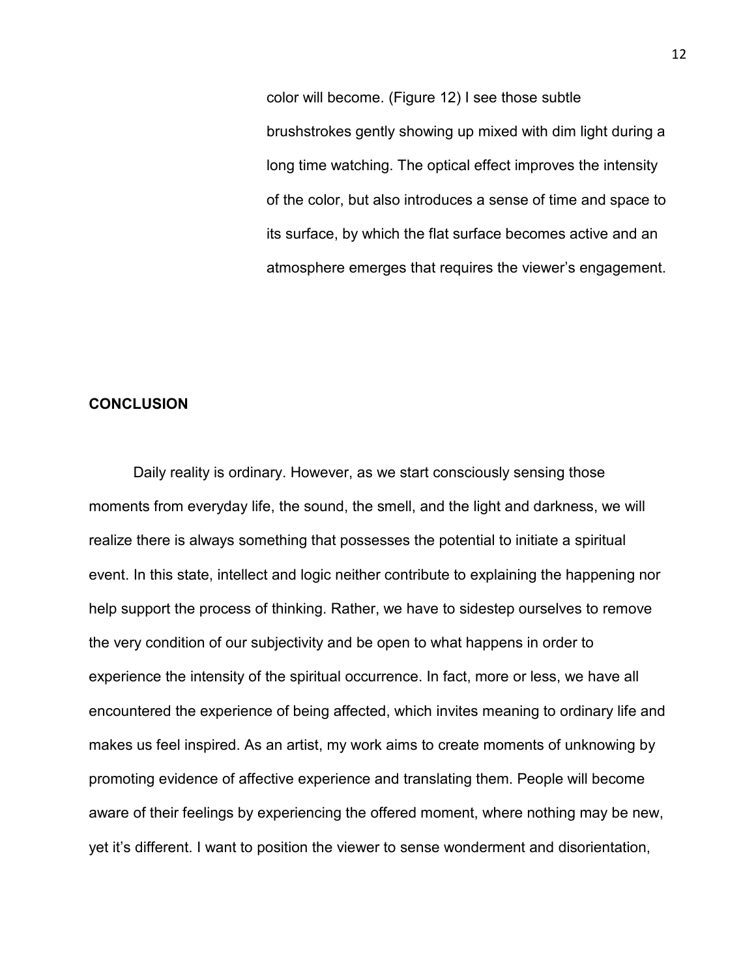color will become. (Figure 12) I see those subtle brushstrokes gently showing up mixed with dim light during a long time watching. The optical effect improves the intensity of the color, but also introduces a sense of time and space to its surface, by which the flat surface becomes active and an atmosphere emerges that requires the viewer's engagement.

#### **CONCLUSION**

Daily reality is ordinary. However, as we start consciously sensing those moments from everyday life, the sound, the smell, and the light and darkness, we will realize there is always something that possesses the potential to initiate a spiritual event. In this state, intellect and logic neither contribute to explaining the happening nor help support the process of thinking. Rather, we have to sidestep ourselves to remove the very condition of our subjectivity and be open to what happens in order to experience the intensity of the spiritual occurrence. In fact, more or less, we have all encountered the experience of being affected, which invites meaning to ordinary life and makes us feel inspired. As an artist, my work aims to create moments of unknowing by promoting evidence of affective experience and translating them. People will become aware of their feelings by experiencing the offered moment, where nothing may be new, yet it's different. I want to position the viewer to sense wonderment and disorientation,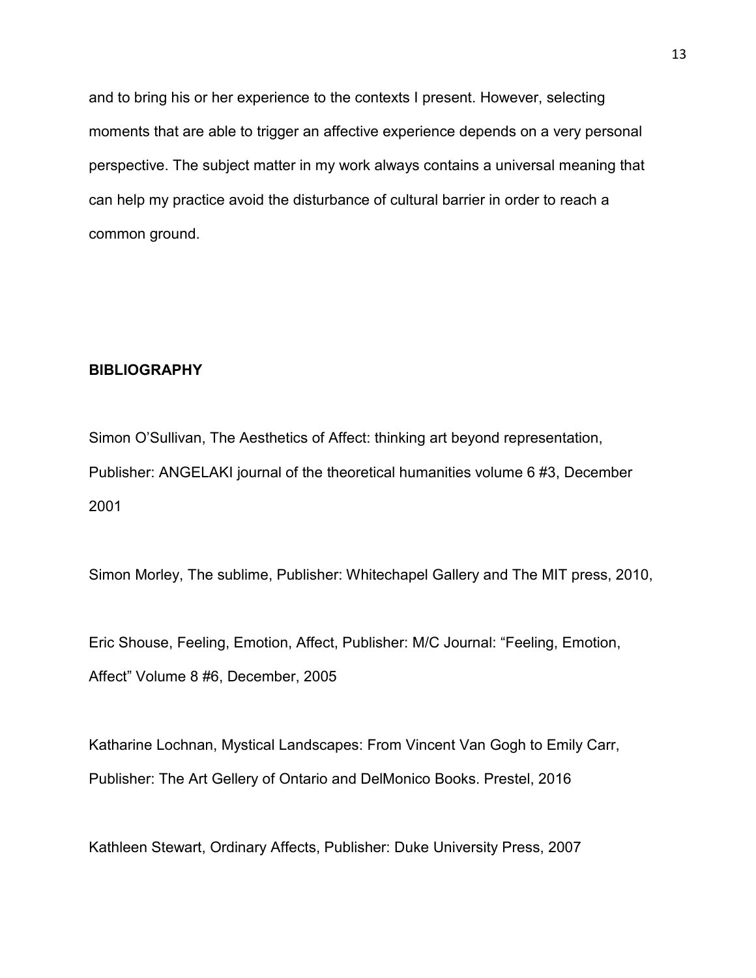and to bring his or her experience to the contexts I present. However, selecting moments that are able to trigger an affective experience depends on a very personal perspective. The subject matter in my work always contains a universal meaning that can help my practice avoid the disturbance of cultural barrier in order to reach a common ground.

#### **BIBLIOGRAPHY**

Simon O'Sullivan, The Aesthetics of Affect: thinking art beyond representation, Publisher: ANGELAKI journal of the theoretical humanities volume 6 #3, December 2001

Simon Morley, The sublime, Publisher: Whitechapel Gallery and The MIT press, 2010,

Eric Shouse, Feeling, Emotion, Affect, Publisher: M/C Journal: "Feeling, Emotion, Affect" Volume 8 #6, December, 2005

Katharine Lochnan, Mystical Landscapes: From Vincent Van Gogh to Emily Carr, Publisher: The Art Gellery of Ontario and DelMonico Books. Prestel, 2016

Kathleen Stewart, Ordinary Affects, Publisher: Duke University Press, 2007